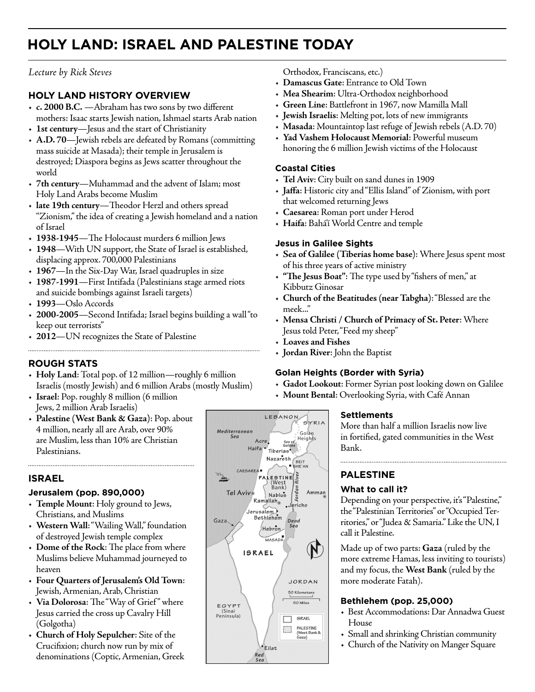# **HOLY LAND: ISRAEL AND PALESTINE TODAY**

## *Lecture by Rick Steves*

## **HOLY LAND HISTORY OVERVIEW**

- **c. 2000 B.C.** —Abraham has two sons by two different mothers: Isaac starts Jewish nation, Ishmael starts Arab nation
- **1st century**—Jesus and the start of Christianity
- **A.D. 70**—Jewish rebels are defeated by Romans (committing mass suicide at Masada); their temple in Jerusalem is destroyed; Diaspora begins as Jews scatter throughout the world
- **7th century**—Muhammad and the advent of Islam; most Holy Land Arabs become Muslim
- **late 19th century**—Theodor Herzl and others spread "Zionism," the idea of creating a Jewish homeland and a nation of Israel
- **1938-1945**—The Holocaust murders 6 million Jews
- **1948**—With UN support, the State of Israel is established, displacing approx. 700,000 Palestinians
- **1967**—In the Six-Day War, Israel quadruples in size
- **1987-1991**—First Intifada (Palestinians stage armed riots and suicide bombings against Israeli targets)
- **1993**—Oslo Accords
- **2000-2005**—Second Intifada; Israel begins building a wall "to keep out terrorists"
- **2012**—UN recognizes the State of Palestine

# **ROUGH STATS**

• **Holy Land**: Total pop. of 12 million—roughly 6 million Israelis (mostly Jewish) and 6 million Arabs (mostly Muslim)

- **Israel**: Pop. roughly 8 million (6 million Jews, 2 million Arab Israelis)
- **Palestine (West Bank & Gaza)**: Pop. about 4 million, nearly all are Arab, over 90% are Muslim, less than 10% are Christian Palestinians.

## **ISRAEL**

#### **Jerusalem (pop. 890,000)**

- **Temple Mount**: Holy ground to Jews, Christians, and Muslims
- **Western Wall**: "Wailing Wall," foundation of destroyed Jewish temple complex
- **Dome of the Rock**: The place from where Muslims believe Muhammad journeyed to heaven
- **Four Quarters of Jerusalem's Old Town**: Jewish, Armenian, Arab, Christian
- **Via Dolorosa**: The "Way of Grief " where Jesus carried the cross up Cavalry Hill (Golgotha)
- **Church of Holy Sepulcher**: Site of the Crucifixion; church now run by mix of denominations (Coptic, Armenian, Greek



Orthodox, Franciscans, etc.)

- **Damascus Gate**: Entrance to Old Town
- **Mea Shearim**: Ultra-Orthodox neighborhood
- **Green Line**: Battlefront in 1967, now Mamilla Mall
- **Jewish Israelis**: Melting pot, lots of new immigrants
- **Masada**: Mountaintop last refuge of Jewish rebels (A.D. 70)
- **Yad Vashem Holocaust Memorial**: Powerful museum honoring the 6 million Jewish victims of the Holocaust

#### **Coastal Cities**

- **Tel Aviv**: City built on sand dunes in 1909
- **Jaffa**: Historic city and "Ellis Island" of Zionism, with port that welcomed returning Jews
- **Caesarea**: Roman port under Herod
- **Haifa**: Bahá'í World Centre and temple

#### **Jesus in Galilee Sights**

- **Sea of Galilee (Tiberias home base)**: Where Jesus spent most of his three years of active ministry
- **"The Jesus Boat"**: The type used by "fishers of men," at Kibbutz Ginosar
- **Church of the Beatitudes (near Tabgha)**: "Blessed are the meek..."
- **Mensa Christi / Church of Primacy of St. Peter**: Where Jesus told Peter, "Feed my sheep"
- **Loaves and Fishes**
- **Jordan River**: John the Baptist

## **Golan Heights (Border with Syria)**

- **Gadot Lookout**: Former Syrian post looking down on Galilee
- **Mount Bental**: Overlooking Syria, with Café Annan

#### **Settlements**

More than half a million Israelis now live in fortified, gated communities in the West Bank.

# **PALESTINE**

#### **What to call it?**

Depending on your perspective, it's "Palestine," the "Palestinian Territories" or "Occupied Territories," or "Judea & Samaria." Like the UN, I call it Palestine.

Made up of two parts: **Gaza** (ruled by the more extreme Hamas, less inviting to tourists) and my focus, the **West Bank** (ruled by the more moderate Fatah).

#### **Bethlehem (pop. 25,000)**

- Best Accommodations: Dar Annadwa Guest House
- Small and shrinking Christian community
- Church of the Nativity on Manger Square